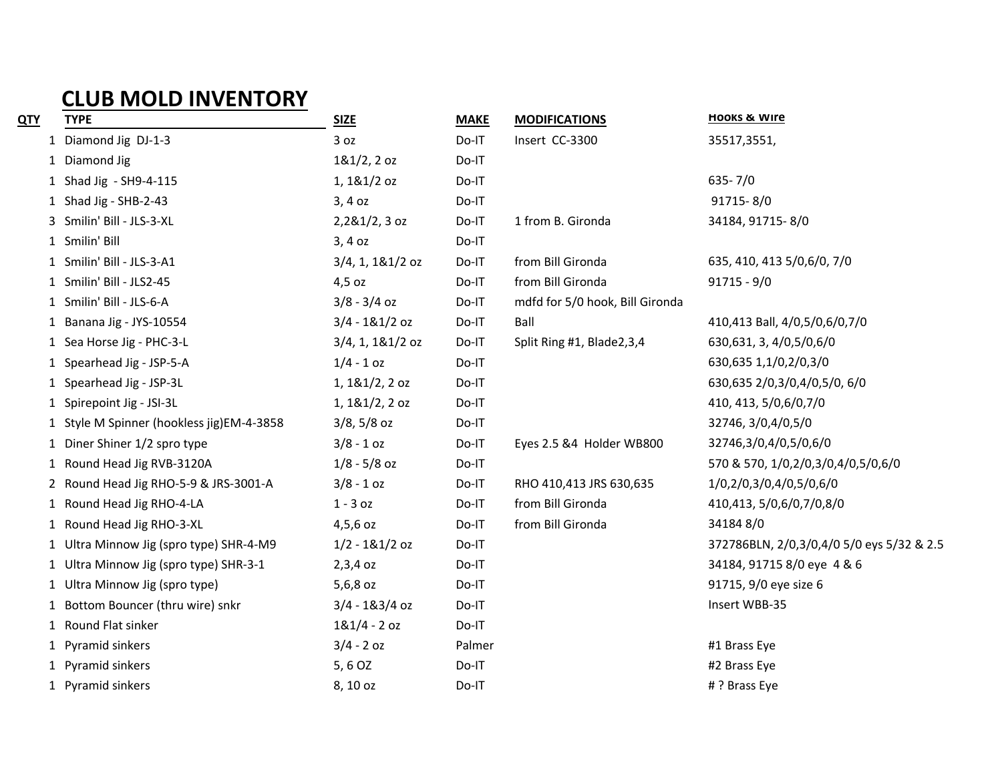## **CLUB MOLD INVENTORY**

| <u>QTY</u> | <b>TYPE</b>                               | <b>SIZE</b>         | <b>MAKE</b> | <b>MODIFICATIONS</b>            | <b>HOOKS &amp; WIFE</b>                   |
|------------|-------------------------------------------|---------------------|-------------|---------------------------------|-------------------------------------------|
|            | 1 Diamond Jig DJ-1-3                      | 3 oz                | Do-IT       | Insert CC-3300                  | 35517,3551,                               |
|            | 1 Diamond Jig                             | 181/2, 20z          | Do-IT       |                                 |                                           |
|            | 1 Shad Jig - SH9-4-115                    | $1,181/2$ oz        | Do-IT       |                                 | $635 - 7/0$                               |
|            | 1 Shad Jig - SHB-2-43                     | $3,4$ oz            | Do-IT       |                                 | 91715-8/0                                 |
|            | 3 Smilin' Bill - JLS-3-XL                 | $2,281/2,3$ oz      | Do-IT       | 1 from B. Gironda               | 34184, 91715-8/0                          |
|            | 1 Smilin' Bill                            | $3,4$ oz            | Do-IT       |                                 |                                           |
|            | 1 Smilin' Bill - JLS-3-A1                 | $3/4$ , 1, 1&1/2 oz | Do-IT       | from Bill Gironda               | 635, 410, 413 5/0,6/0, 7/0                |
|            | 1 Smilin' Bill - JLS2-45                  | $4,5$ oz            | Do-IT       | from Bill Gironda               | $91715 - 9/0$                             |
|            | 1 Smilin' Bill - JLS-6-A                  | $3/8 - 3/4$ oz      | Do-IT       | mdfd for 5/0 hook, Bill Gironda |                                           |
|            | 1 Banana Jig - JYS-10554                  | $3/4 - 181/2$ oz    | Do-IT       | Ball                            | 410,413 Ball, 4/0,5/0,6/0,7/0             |
|            | 1 Sea Horse Jig - PHC-3-L                 | 3/4, 1, 1&1/2 oz    | Do-IT       | Split Ring #1, Blade2,3,4       | 630,631, 3, 4/0,5/0,6/0                   |
|            | 1 Spearhead Jig - JSP-5-A                 | $1/4 - 1$ oz        | Do-IT       |                                 | 630,635 1,1/0,2/0,3/0                     |
|            | 1 Spearhead Jig - JSP-3L                  | 1, 181/2, 20z       | Do-IT       |                                 | 630,635 2/0,3/0,4/0,5/0, 6/0              |
|            | 1 Spirepoint Jig - JSI-3L                 | 1, 181/2, 20z       | Do-IT       |                                 | 410, 413, 5/0, 6/0, 7/0                   |
|            | 1 Style M Spinner (hookless jig)EM-4-3858 | $3/8, 5/8$ oz       | Do-IT       |                                 | 32746, 3/0, 4/0, 5/0                      |
|            | 1 Diner Shiner 1/2 spro type              | $3/8 - 1$ oz        | Do-IT       | Eyes 2.5 &4 Holder WB800        | 32746,3/0,4/0,5/0,6/0                     |
|            | 1 Round Head Jig RVB-3120A                | $1/8 - 5/8$ oz      | Do-IT       |                                 | 570 & 570, 1/0,2/0,3/0,4/0,5/0,6/0        |
|            | 2 Round Head Jig RHO-5-9 & JRS-3001-A     | $3/8 - 1$ oz        | Do-IT       | RHO 410,413 JRS 630,635         | 1/0,2/0,3/0,4/0,5/0,6/0                   |
|            | 1 Round Head Jig RHO-4-LA                 | $1 - 3$ oz          | Do-IT       | from Bill Gironda               | 410,413, 5/0,6/0,7/0,8/0                  |
|            | 1 Round Head Jig RHO-3-XL                 | $4,5,6$ oz          | Do-IT       | from Bill Gironda               | 341848/0                                  |
|            | 1 Ultra Minnow Jig (spro type) SHR-4-M9   | $1/2 - 181/2$ oz    | Do-IT       |                                 | 372786BLN, 2/0,3/0,4/0 5/0 eys 5/32 & 2.5 |
|            | 1 Ultra Minnow Jig (spro type) SHR-3-1    | $2,3,4$ oz          | Do-IT       |                                 | 34184, 91715 8/0 eye 4 & 6                |
|            | 1 Ultra Minnow Jig (spro type)            | 5,6,8 oz            | Do-IT       |                                 | 91715, 9/0 eye size 6                     |
|            | 1 Bottom Bouncer (thru wire) snkr         | $3/4 - 183/4$ oz    | Do-IT       |                                 | Insert WBB-35                             |
|            | 1 Round Flat sinker                       | $181/4 - 20z$       | Do-IT       |                                 |                                           |
|            | 1 Pyramid sinkers                         | $3/4 - 2$ oz        | Palmer      |                                 | #1 Brass Eye                              |
|            | 1 Pyramid sinkers                         | 5, 6 OZ             | Do-IT       |                                 | #2 Brass Eye                              |
|            | 1 Pyramid sinkers                         | 8, 10 oz            | Do-IT       |                                 | # ? Brass Eye                             |
|            |                                           |                     |             |                                 |                                           |